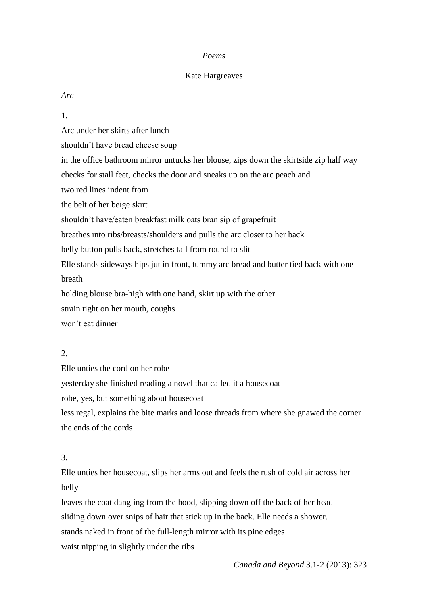### *Poems*

### Kate Hargreaves

*Arc*

1.

Arc under her skirts after lunch

shouldn't have bread cheese soup

in the office bathroom mirror untucks her blouse, zips down the skirtside zip half way

checks for stall feet, checks the door and sneaks up on the arc peach and

two red lines indent from

the belt of her beige skirt

shouldn't have/eaten breakfast milk oats bran sip of grapefruit

breathes into ribs/breasts/shoulders and pulls the arc closer to her back

belly button pulls back, stretches tall from round to slit

Elle stands sideways hips jut in front, tummy arc bread and butter tied back with one breath

holding blouse bra-high with one hand, skirt up with the other

strain tight on her mouth, coughs

won't eat dinner

## $2<sup>1</sup>$

Elle unties the cord on her robe yesterday she finished reading a novel that called it a housecoat robe, yes, but something about housecoat

less regal, explains the bite marks and loose threads from where she gnawed the corner the ends of the cords

## 3.

Elle unties her housecoat, slips her arms out and feels the rush of cold air across her belly

leaves the coat dangling from the hood, slipping down off the back of her head sliding down over snips of hair that stick up in the back. Elle needs a shower. stands naked in front of the full-length mirror with its pine edges waist nipping in slightly under the ribs

*Canada and Beyond* 3.1-2 (2013): 323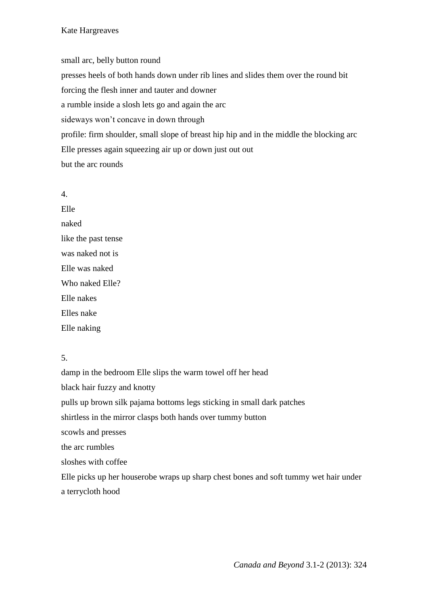## Kate Hargreaves

small arc, belly button round presses heels of both hands down under rib lines and slides them over the round bit forcing the flesh inner and tauter and downer a rumble inside a slosh lets go and again the arc sideways won't concave in down through profile: firm shoulder, small slope of breast hip hip and in the middle the blocking arc Elle presses again squeezing air up or down just out out but the arc rounds

4. Elle naked like the past tense was naked not is Elle was naked Who naked Elle? Elle nakes Elles nake Elle naking

# 5.

damp in the bedroom Elle slips the warm towel off her head black hair fuzzy and knotty pulls up brown silk pajama bottoms legs sticking in small dark patches shirtless in the mirror clasps both hands over tummy button scowls and presses the arc rumbles sloshes with coffee Elle picks up her houserobe wraps up sharp chest bones and soft tummy wet hair under a terrycloth hood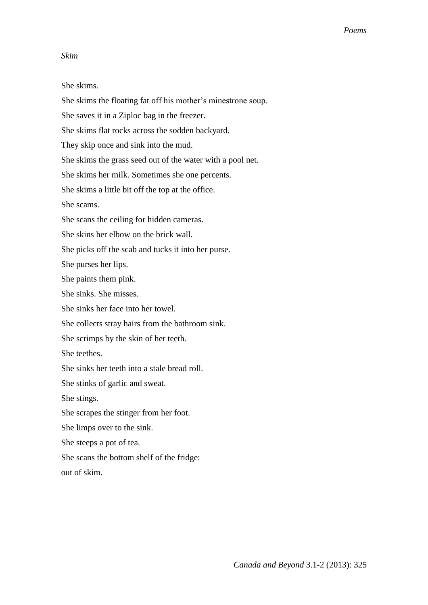### *Skim*

She skims.

She skims the floating fat off his mother's minestrone soup. She saves it in a Ziploc bag in the freezer. She skims flat rocks across the sodden backyard. They skip once and sink into the mud. She skims the grass seed out of the water with a pool net. She skims her milk. Sometimes she one percents. She skims a little bit off the top at the office. She scams. She scans the ceiling for hidden cameras. She skins her elbow on the brick wall. She picks off the scab and tucks it into her purse. She purses her lips. She paints them pink. She sinks. She misses. She sinks her face into her towel. She collects stray hairs from the bathroom sink. She scrimps by the skin of her teeth. She teethes. She sinks her teeth into a stale bread roll. She stinks of garlic and sweat. She stings. She scrapes the stinger from her foot. She limps over to the sink. She steeps a pot of tea. She scans the bottom shelf of the fridge: out of skim.